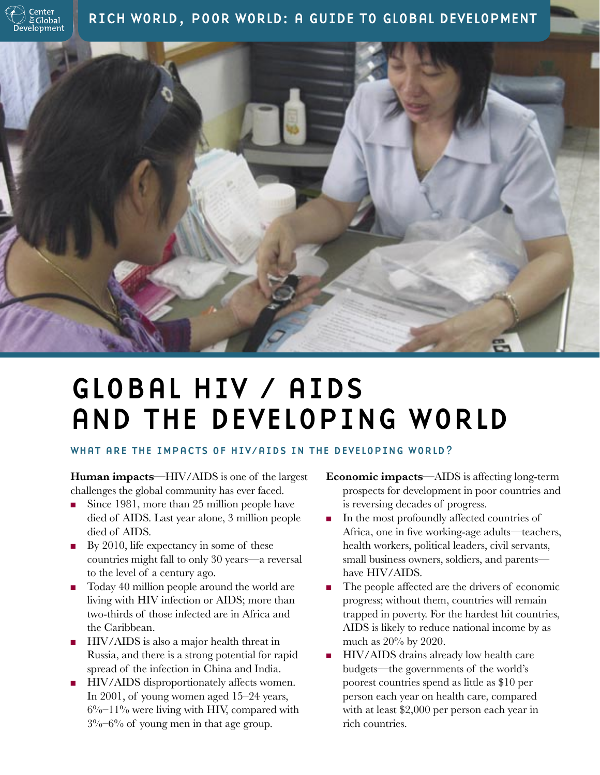

RICH WORLD, POOR WORLD: A GUIDE TO GLOBAL DEVELOPMENT



# GLOBAL HIV / AIDS AND THE DEVELOPING WORLD

## WHAT ARE THE IMPACTS OF HIV/AIDS IN THE DEVELOPING WORLD?

**Human impacts**—HIV/AIDS is one of the largest challenges the global community has ever faced.

- Since 1981, more than 25 million people have died of AIDS. Last year alone, 3 million people died of AIDS.
- By 2010, life expectancy in some of these countries might fall to only 30 years—a reversal to the level of a century ago.
- Today 40 million people around the world are living with HIV infection or AIDS; more than two-thirds of those infected are in Africa and the Caribbean.
- HIV/AIDS is also a major health threat in Russia, and there is a strong potential for rapid spread of the infection in China and India.
- HIV/AIDS disproportionately affects women. In 2001, of young women aged 15–24 years,  $6\%$ –11% were living with HIV, compared with 3%–6% of young men in that age group.
- **Economic impacts**—AIDS is affecting long-term prospects for development in poor countries and is reversing decades of progress.
- In the most profoundly affected countries of Africa, one in five working-age adults—teachers, health workers, political leaders, civil servants, small business owners, soldiers, and parents have HIV/AIDS.
- The people affected are the drivers of economic progress; without them, countries will remain trapped in poverty. For the hardest hit countries, AIDS is likely to reduce national income by as much as 20% by 2020.
- HIV/AIDS drains already low health care budgets—the governments of the world's poorest countries spend as little as \$10 per person each year on health care, compared with at least \$2,000 per person each year in rich countries.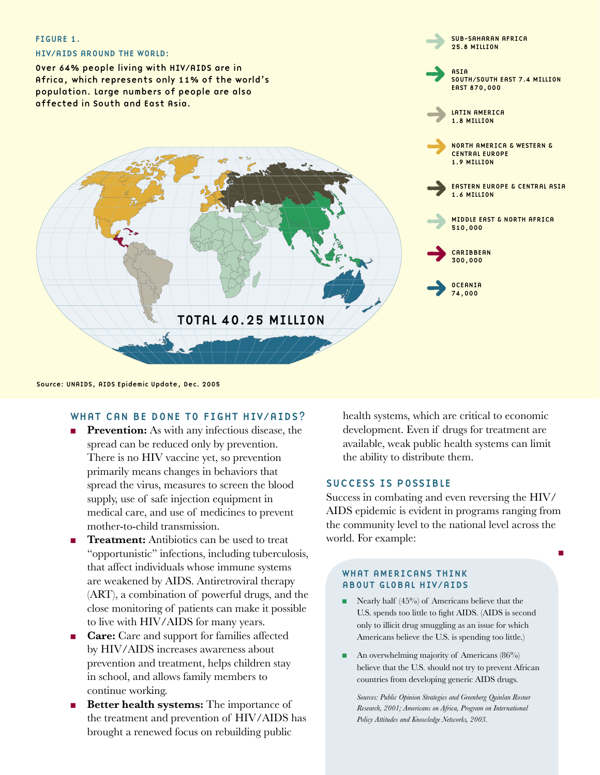

Source: UNAIDS, AIDS Epidemic Update, Dec. 2005

#### WHAT CAN BE DONE TO FIGHT HIV/AIDS?

- **Prevention:** As with any infectious disease, the spread can be reduced only by prevention. There is no HIV vaccine yet, so prevention primarily means changes in behaviors that spread the virus, measures to screen the blood supply, use of safe injection equipment in medical care, and use of medicines to prevent mother-to-child transmission.
- **Treatment:** Antibiotics can be used to treat "opportunistic" infections, including tuberculosis, that affect individuals whose immune systems are weakened by AIDS. Antiretroviral therapy (ART), a combination of powerful drugs, and the close monitoring of patients can make it possible to live with HIV/AIDS for many years.
- **Care:** Care and support for families affected by HIV/AIDS increases awareness about prevention and treatment, helps children stay in school, and allows family members to continue working.
- **Better health systems:** The importance of the treatment and prevention of HIV/AIDS has brought a renewed focus on rebuilding public

health systems, which are critical to economic development. Even if drugs for treatment are available, weak public health systems can limit the ability to distribute them.

### SUCCESS IS POSSIBLE

Success in combating and even reversing the HIV/ AIDS epidemic is evident in programs ranging from the community level to the national level across the world. For example:

■

#### WHAT AMERICANS THINK ABOUT GLOBAL HIV/AIDS

- Nearly half (45%) of Americans believe that the U.S. spends too little to fight AIDS. (AIDS is second only to illicit drug smuggling as an issue for which Americans believe the U.S. is spending too little.)
- An overwhelming majority of Americans (86%) believe that the U.S. should not try to prevent African countries from developing generic AIDS drugs.

 *Sources: Public Opinion Strategies and Greenberg Quinlan Rosner Research, 2001; Americans on Africa, Program on International Policy Attitudes and Knowledge Networks, 2003.*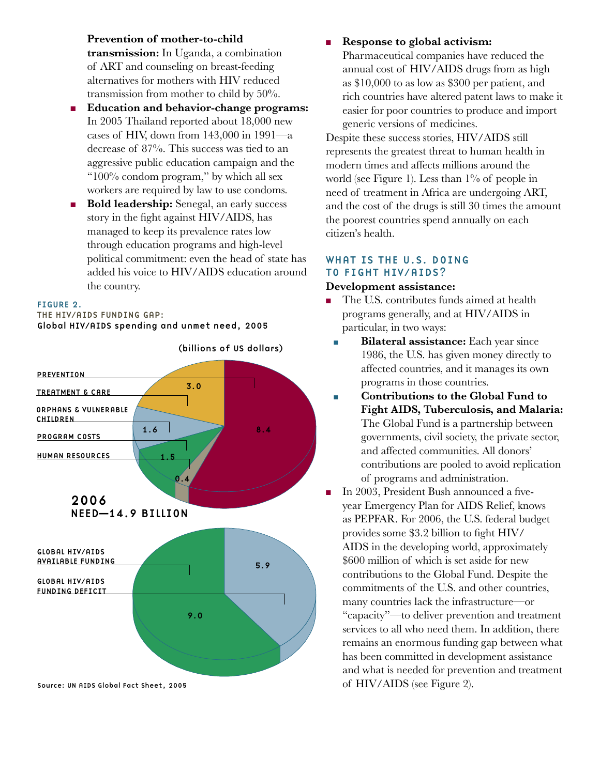**Prevention of mother-to-child** 

**transmission:** In Uganda, a combination of ART and counseling on breast-feeding alternatives for mothers with HIV reduced transmission from mother to child by 50%.

- **Education and behavior-change programs:** In 2005 Thailand reported about 18,000 new cases of HIV, down from  $143,000$  in  $1991$ —a decrease of 87%. This success was tied to an aggressive public education campaign and the "100% condom program," by which all sex workers are required by law to use condoms.
- **Bold leadership:** Senegal, an early success story in the fight against HIV/AIDS, has managed to keep its prevalence rates low through education programs and high-level political commitment: even the head of state has added his voice to HIV/AIDS education around the country.

#### FIGURE 2.

THE HIV/AIDS FUNDING GAP: Global HIV/AIDS spending and unmet need, 2005



Source: UN AIDS Global Fact Sheet, 2005

### ■ **Response to global activism:**

Pharmaceutical companies have reduced the annual cost of HIV/AIDS drugs from as high as \$10,000 to as low as \$300 per patient, and rich countries have altered patent laws to make it easier for poor countries to produce and import generic versions of medicines.

Despite these success stories, HIV/AIDS still represents the greatest threat to human health in modern times and affects millions around the world (see Figure 1). Less than 1% of people in need of treatment in Africa are undergoing ART, and the cost of the drugs is still 30 times the amount the poorest countries spend annually on each citizen's health.

# WHAT IS THE U.S. DOING TO FIGHT HIV/AIDS?

#### **Development assistance:**

- The U.S. contributes funds aimed at health programs generally, and at HIV/AIDS in particular, in two ways:
	- **Bilateral assistance:** Each year since 1986, the U.S. has given money directly to affected countries, and it manages its own programs in those countries.
	- **Contributions to the Global Fund to Fight AIDS, Tuberculosis, and Malaria:** The Global Fund is a partnership between governments, civil society, the private sector, and affected communities. All donors' contributions are pooled to avoid replication of programs and administration.
	- In 2003, President Bush announced a fiveyear Emergency Plan for AIDS Relief, knows as PEPFAR. For 2006, the U.S. federal budget provides some \$3.2 billion to fight HIV/ AIDS in the developing world, approximately \$600 million of which is set aside for new contributions to the Global Fund. Despite the commitments of the U.S. and other countries, many countries lack the infrastructure—or "capacity"—to deliver prevention and treatment services to all who need them. In addition, there remains an enormous funding gap between what has been committed in development assistance and what is needed for prevention and treatment of HIV/AIDS (see Figure 2).